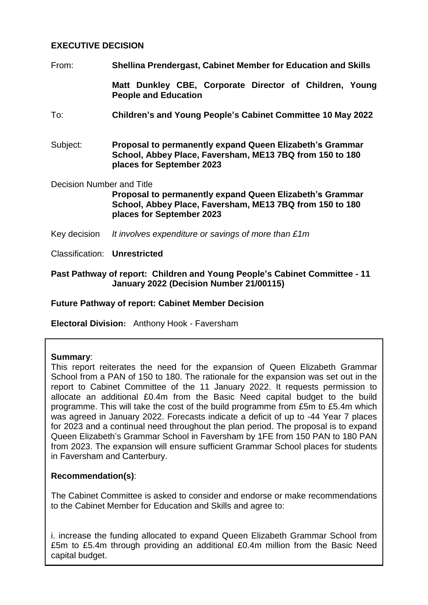## **EXECUTIVE DECISION**

From: **Shellina Prendergast, Cabinet Member for Education and Skills**

**Matt Dunkley CBE, Corporate Director of Children, Young People and Education**

- To: **Children's and Young People's Cabinet Committee 10 May 2022**
- Subject: **Proposal to permanently expand Queen Elizabeth's Grammar School, Abbey Place, Faversham, ME13 7BQ from 150 to 180 places for September 2023**

Decision Number and Title

**Proposal to permanently expand Queen Elizabeth's Grammar School, Abbey Place, Faversham, ME13 7BQ from 150 to 180 places for September 2023**

- Key decision *It involves expenditure or savings of more than £1m*
- Classification: **Unrestricted**

#### **Past Pathway of report: Children and Young People's Cabinet Committee - 11 January 2022 (Decision Number 21/00115)**

#### **Future Pathway of report: Cabinet Member Decision**

**Electoral Division:** Anthony Hook - Faversham

#### **Summary**:

This report reiterates the need for the expansion of Queen Elizabeth Grammar School from a PAN of 150 to 180. The rationale for the expansion was set out in the report to Cabinet Committee of the 11 January 2022. It requests permission to allocate an additional £0.4m from the Basic Need capital budget to the build programme. This will take the cost of the build programme from £5m to £5.4m which was agreed in January 2022. Forecasts indicate a deficit of up to -44 Year 7 places for 2023 and a continual need throughout the plan period. The proposal is to expand Queen Elizabeth's Grammar School in Faversham by 1FE from 150 PAN to 180 PAN from 2023. The expansion will ensure sufficient Grammar School places for students in Faversham and Canterbury.

#### **Recommendation(s)**:

The Cabinet Committee is asked to consider and endorse or make recommendations to the Cabinet Member for Education and Skills and agree to:

i. increase the funding allocated to expand Queen Elizabeth Grammar School from £5m to £5.4m through providing an additional £0.4m million from the Basic Need capital budget.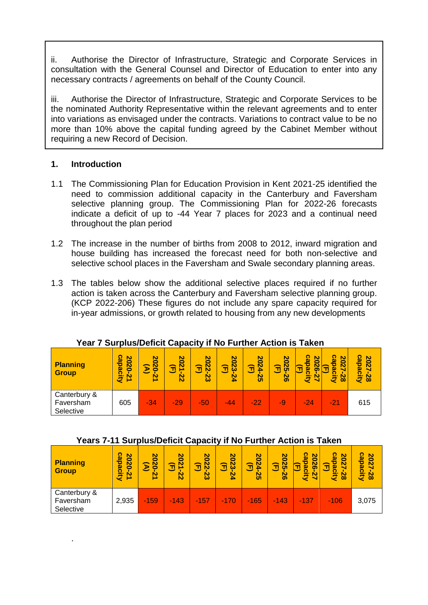ii. Authorise the Director of Infrastructure, Strategic and Corporate Services in consultation with the General Counsel and Director of Education to enter into any necessary contracts / agreements on behalf of the County Council.

iii. Authorise the Director of Infrastructure, Strategic and Corporate Services to be the nominated Authority Representative within the relevant agreements and to enter into variations as envisaged under the contracts. Variations to contract value to be no more than 10% above the capital funding agreed by the Cabinet Member without requiring a new Record of Decision.

#### **1. Introduction**

.

- 1.1 The Commissioning Plan for Education Provision in Kent 2021-25 identified the need to commission additional capacity in the Canterbury and Faversham selective planning group. The Commissioning Plan for 2022-26 forecasts indicate a deficit of up to -44 Year 7 places for 2023 and a continual need throughout the plan period
- 1.2 The increase in the number of births from 2008 to 2012, inward migration and house building has increased the forecast need for both non-selective and selective school places in the Faversham and Swale secondary planning areas.
- 1.3 The tables below show the additional selective places required if no further action is taken across the Canterbury and Faversham selective planning group. (KCP 2022-206) These figures do not include any spare capacity required for in-year admissions, or growth related to housing from any new developments

| <b>Planning</b><br><b>Group</b>        | capacit)<br>2020<br>Ñ | <b>SO</b><br>ន<br>ু<br>N<br><b>CALL</b> | <b>So</b><br>질<br>令<br>$\overline{z}$ | ၓ<br>72<br>코<br>ပ္လ | <b>SO</b><br>Σ3<br>코<br>24 | 20<br>24<br>নি<br><u>بر</u> | 20<br>S5<br>鱼<br>56 | ၵ္သ<br>20<br>ο<br>္က<br>Π<br>ග<br>2<br>ā | ဂ္လ<br>20<br>Ñ<br>ω<br>ō<br>$\overline{\mathbf{8}}$<br>ā | capacity<br>2027<br>$\overline{8}$ |
|----------------------------------------|-----------------------|-----------------------------------------|---------------------------------------|---------------------|----------------------------|-----------------------------|---------------------|------------------------------------------|----------------------------------------------------------|------------------------------------|
| Canterbury &<br>Faversham<br>Selective | 605                   | $-34$                                   | $-29$                                 | -50                 | $-44$                      | $-22$                       | -9                  | $-24$                                    | $-21$                                                    | 615                                |

#### **Year 7 Surplus/Deficit Capacity if No Further Action is Taken**

#### **Years 7-11 Surplus/Deficit Capacity if No Further Action is Taken**

| Planning<br><b>Group</b>               | <u>က</u><br>2020<br>pacity<br>Ñ<br>ᅩ | <b>So</b><br><b>N</b><br>$\mathbf{z}$<br>Ř | 20<br>Ñ<br>নি<br>Ñ | 20<br>22<br>নি<br>က္လ | 20<br>బ్<br>নি<br>$\overline{2}$ | 20<br>ΣĀ<br>Ĵ<br><b>SS</b> | 20<br><b>SS</b><br>$\widehat{\mathbf{J}}$<br>56 | ន<br>20<br>pacity<br>$\overline{8}$<br>নি<br>Ñ | 8<br>Ñ<br>T.<br>ω<br>city<br>$\overline{8}$ | <u>က</u><br><b>SO</b><br>pacity<br>Ñ<br>28 |
|----------------------------------------|--------------------------------------|--------------------------------------------|--------------------|-----------------------|----------------------------------|----------------------------|-------------------------------------------------|------------------------------------------------|---------------------------------------------|--------------------------------------------|
| Canterbury &<br>Faversham<br>Selective | 2,935                                | $-159$                                     | $-143$             | 4157                  | $-170$                           | $-165$                     | $-143$                                          | $-137$                                         | $-106$                                      | 3,075                                      |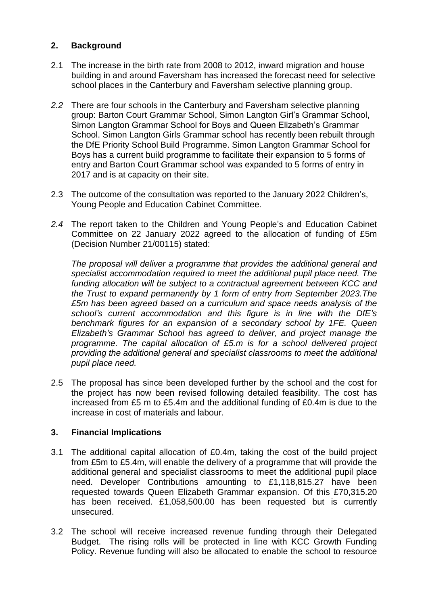## **2. Background**

- 2.1 The increase in the birth rate from 2008 to 2012, inward migration and house building in and around Faversham has increased the forecast need for selective school places in the Canterbury and Faversham selective planning group.
- *2.2* There are four schools in the Canterbury and Faversham selective planning group: Barton Court Grammar School, Simon Langton Girl's Grammar School, Simon Langton Grammar School for Boys and Queen Elizabeth's Grammar School. Simon Langton Girls Grammar school has recently been rebuilt through the DfE Priority School Build Programme. Simon Langton Grammar School for Boys has a current build programme to facilitate their expansion to 5 forms of entry and Barton Court Grammar school was expanded to 5 forms of entry in 2017 and is at capacity on their site.
- 2.3 The outcome of the consultation was reported to the January 2022 Children's, Young People and Education Cabinet Committee.
- *2.4* The report taken to the Children and Young People's and Education Cabinet Committee on 22 January 2022 agreed to the allocation of funding of £5m (Decision Number 21/00115) stated:

*The proposal will deliver a programme that provides the additional general and specialist accommodation required to meet the additional pupil place need. The funding allocation will be subject to a contractual agreement between KCC and the Trust to expand permanently by 1 form of entry from September 2023.The £5m has been agreed based on a curriculum and space needs analysis of the school's current accommodation and this figure is in line with the DfE's benchmark figures for an expansion of a secondary school by 1FE. Queen Elizabeth's Grammar School has agreed to deliver, and project manage the programme. The capital allocation of £5.m is for a school delivered project providing the additional general and specialist classrooms to meet the additional pupil place need.*

2.5 The proposal has since been developed further by the school and the cost for the project has now been revised following detailed feasibility. The cost has increased from £5 m to £5.4m and the additional funding of £0.4m is due to the increase in cost of materials and labour.

## **3. Financial Implications**

- 3.1 The additional capital allocation of £0.4m, taking the cost of the build project from £5m to £5.4m, will enable the delivery of a programme that will provide the additional general and specialist classrooms to meet the additional pupil place need. Developer Contributions amounting to £1,118,815.27 have been requested towards Queen Elizabeth Grammar expansion. Of this £70,315.20 has been received. £1,058,500.00 has been requested but is currently unsecured.
- 3.2 The school will receive increased revenue funding through their Delegated Budget. The rising rolls will be protected in line with KCC Growth Funding Policy. Revenue funding will also be allocated to enable the school to resource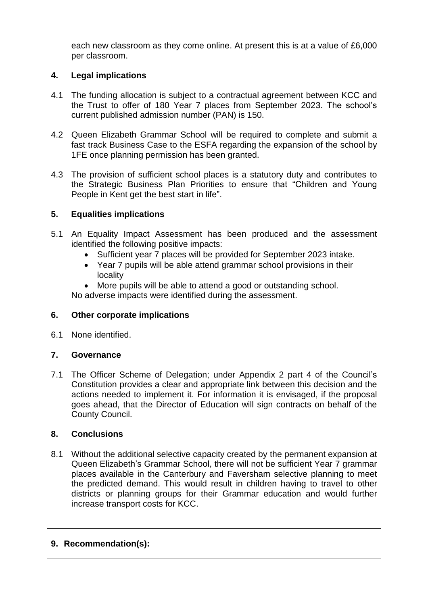each new classroom as they come online. At present this is at a value of £6,000 per classroom.

## **4. Legal implications**

- 4.1 The funding allocation is subject to a contractual agreement between KCC and the Trust to offer of 180 Year 7 places from September 2023. The school's current published admission number (PAN) is 150.
- 4.2 Queen Elizabeth Grammar School will be required to complete and submit a fast track Business Case to the ESFA regarding the expansion of the school by 1FE once planning permission has been granted.
- 4.3 The provision of sufficient school places is a statutory duty and contributes to the Strategic Business Plan Priorities to ensure that "Children and Young People in Kent get the best start in life".

# **5. Equalities implications**

- 5.1 An Equality Impact Assessment has been produced and the assessment identified the following positive impacts:
	- Sufficient year 7 places will be provided for September 2023 intake.
	- Year 7 pupils will be able attend grammar school provisions in their locality
	- More pupils will be able to attend a good or outstanding school.

No adverse impacts were identified during the assessment.

## **6. Other corporate implications**

6.1 None identified.

## **7. Governance**

7.1 The Officer Scheme of Delegation; under Appendix 2 part 4 of the Council's Constitution provides a clear and appropriate link between this decision and the actions needed to implement it. For information it is envisaged, if the proposal goes ahead, that the Director of Education will sign contracts on behalf of the County Council.

## **8. Conclusions**

8.1 Without the additional selective capacity created by the permanent expansion at Queen Elizabeth's Grammar School, there will not be sufficient Year 7 grammar places available in the Canterbury and Faversham selective planning to meet the predicted demand. This would result in children having to travel to other districts or planning groups for their Grammar education and would further increase transport costs for KCC.

## **9. Recommendation(s):**